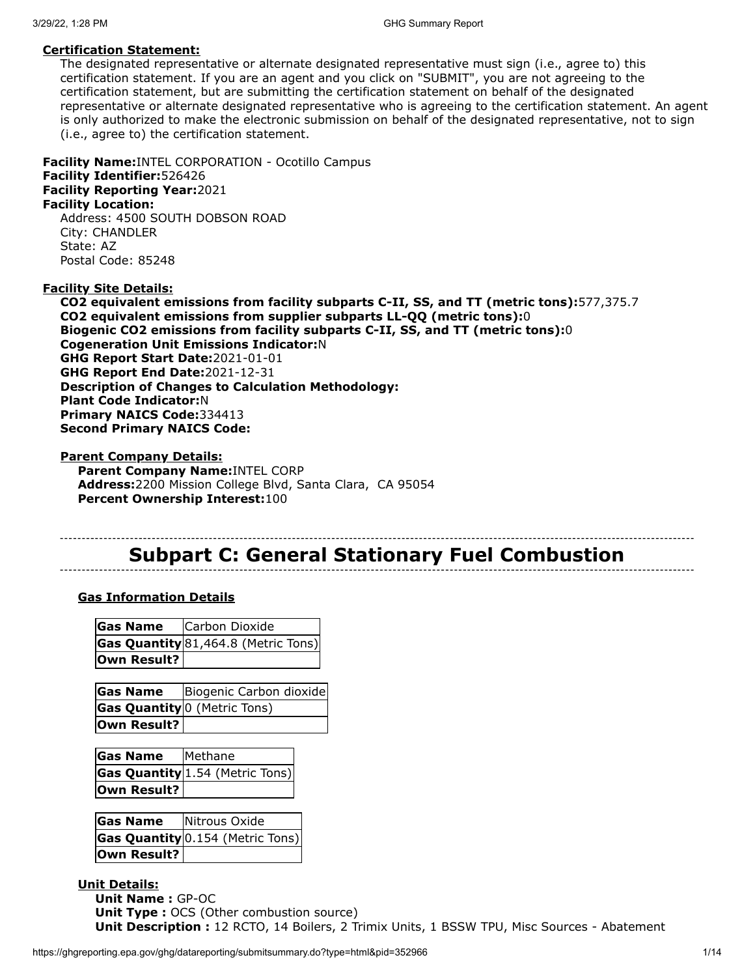#### **Certification Statement:**

The designated representative or alternate designated representative must sign (i.e., agree to) this certification statement. If you are an agent and you click on "SUBMIT", you are not agreeing to the certification statement, but are submitting the certification statement on behalf of the designated representative or alternate designated representative who is agreeing to the certification statement. An agent is only authorized to make the electronic submission on behalf of the designated representative, not to sign (i.e., agree to) the certification statement.

**Facility Name:**INTEL CORPORATION - Ocotillo Campus **Facility Identifier:**526426 **Facility Reporting Year:**2021

#### **Facility Location:**

Address: 4500 SOUTH DOBSON ROAD City: CHANDLER State: AZ Postal Code: 85248

#### **Facility Site Details:**

**CO2 equivalent emissions from facility subparts C-II, SS, and TT (metric tons):**577,375.7 **CO2 equivalent emissions from supplier subparts LL-QQ (metric tons):**0 **Biogenic CO2 emissions from facility subparts C-II, SS, and TT (metric tons):**0 **Cogeneration Unit Emissions Indicator:**N **GHG Report Start Date:**2021-01-01 **GHG Report End Date:**2021-12-31 **Description of Changes to Calculation Methodology: Plant Code Indicator:**N **Primary NAICS Code:**334413 **Second Primary NAICS Code:**

**Parent Company Details: Parent Company Name:**INTEL CORP **Address:**2200 Mission College Blvd, Santa Clara, CA 95054 **Percent Ownership Interest:**100

# **Subpart C: General Stationary Fuel Combustion**

#### **Gas Information Details**

| Gas Name    | Carbon Dioxide                        |  |  |
|-------------|---------------------------------------|--|--|
|             | Gas Quantity $81,464.8$ (Metric Tons) |  |  |
| Own Result? |                                       |  |  |

| <b>Gas Name</b> | Biogenic Carbon dioxide                        |
|-----------------|------------------------------------------------|
|                 | <b>Gas Quantity</b> <sup>0</sup> (Metric Tons) |
| Own Result?     |                                                |

| <b>Gas Name</b>    | Methane                                |
|--------------------|----------------------------------------|
|                    | <b>Gas Quantity</b> 1.54 (Metric Tons) |
| <b>Own Result?</b> |                                        |

| <b>Gas Name</b> | Nitrous Oxide                           |
|-----------------|-----------------------------------------|
|                 | <b>Gas Quantity</b> 0.154 (Metric Tons) |
| Own Result?     |                                         |

## **Unit Details:**

**Unit Name :** GP-OC **Unit Type :** OCS (Other combustion source) **Unit Description :** 12 RCTO, 14 Boilers, 2 Trimix Units, 1 BSSW TPU, Misc Sources - Abatement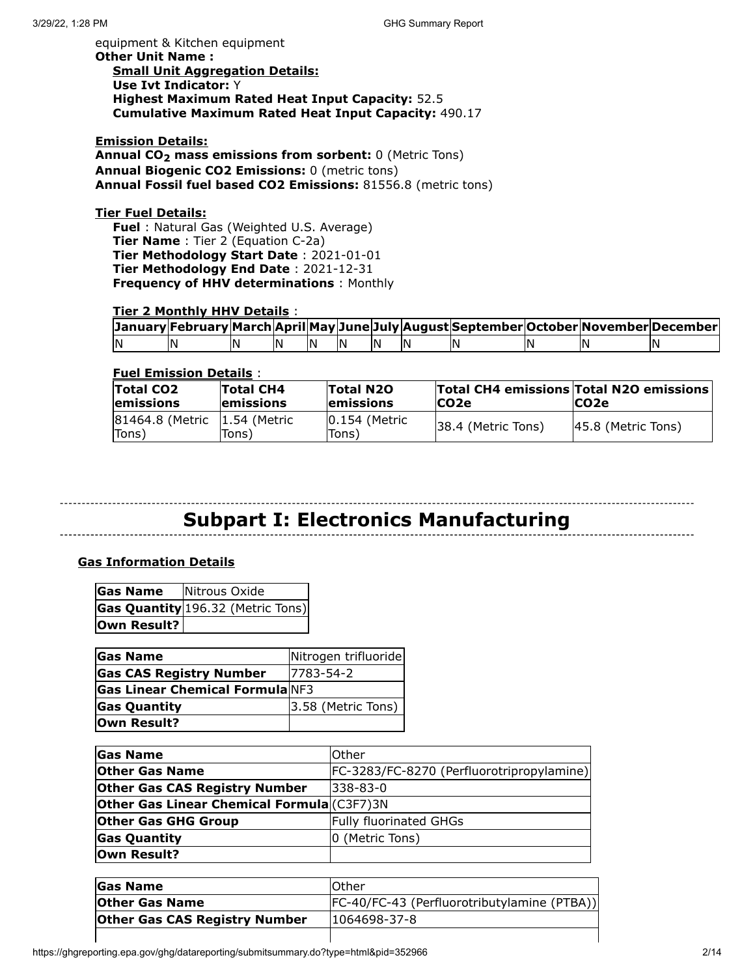equipment & Kitchen equipment **Other Unit Name : Small Unit Aggregation Details: Use Ivt Indicator:** Y **Highest Maximum Rated Heat Input Capacity:** 52.5 **Cumulative Maximum Rated Heat Input Capacity:** 490.17

**Emission Details: Annual CO2 mass emissions from sorbent:** 0 (Metric Tons) **Annual Biogenic CO2 Emissions:** 0 (metric tons) **Annual Fossil fuel based CO2 Emissions:** 81556.8 (metric tons)

#### **Tier Fuel Details:**

**Fuel** : Natural Gas (Weighted U.S. Average) **Tier Name** : Tier 2 (Equation C-2a) **Tier Methodology Start Date** : 2021-01-01 **Tier Methodology End Date** : 2021-12-31 **Frequency of HHV determinations** : Monthly

#### **Tier 2 Monthly HHV Details** :

|    |    |    |    |    |    |    | January February March April May June July August September October November December |    |    |
|----|----|----|----|----|----|----|---------------------------------------------------------------------------------------|----|----|
| IN | 'N | ١N | IN | IN | ΙN | IN | I٨                                                                                    | 'N | IN |

#### **Fuel Emission Details** :

| <b>Total CO2</b><br><b>lemissions</b> | <b>Total CH4</b><br><b>lemissions</b> | Total N2O<br><b>lemissions</b> | <b>CO2e</b>        | <b>Total CH4 emissions Total N2O emissions</b><br><b>CO2e</b> |
|---------------------------------------|---------------------------------------|--------------------------------|--------------------|---------------------------------------------------------------|
| 81464.8 (Metric<br>Tons)              | l1.54 (Metric<br>Tons)                | 10.154 (Metric<br>Tons)        | 38.4 (Metric Tons) | $ 45.8 $ (Metric Tons)                                        |

# **Subpart I: Electronics Manufacturing**

#### **Gas Information Details**

| Gas Name    | Nitrous Oxide                     |
|-------------|-----------------------------------|
|             | Gas Quantity 196.32 (Metric Tons) |
| Own Result? |                                   |

| <b>Gas Name</b>                        | Nitrogen trifluoride |
|----------------------------------------|----------------------|
| <b>Gas CAS Registry Number</b>         | 7783-54-2            |
| <b>Gas Linear Chemical Formula</b> NF3 |                      |
| <b>Gas Quantity</b>                    | 3.58 (Metric Tons)   |
| Own Result?                            |                      |

| <b>Gas Name</b>                                    | <b>Other</b>                              |
|----------------------------------------------------|-------------------------------------------|
| <b>Other Gas Name</b>                              | FC-3283/FC-8270 (Perfluorotripropylamine) |
| <b>Other Gas CAS Registry Number</b>               | l338-83-0                                 |
| <b>Other Gas Linear Chemical Formula</b> (C3F7) 3N |                                           |
| <b>Other Gas GHG Group</b>                         | <b>Fully fluorinated GHGs</b>             |
| <b>Gas Quantity</b>                                | 0 (Metric Tons)                           |
| Own Result?                                        |                                           |

| <b>Gas Name</b>                      | <b>Other</b>                                 |
|--------------------------------------|----------------------------------------------|
| <b>Other Gas Name</b>                | [FC-40/FC-43 (Perfluorotributylamine (PTBA)) |
| <b>Other Gas CAS Registry Number</b> | 1064698-37-8                                 |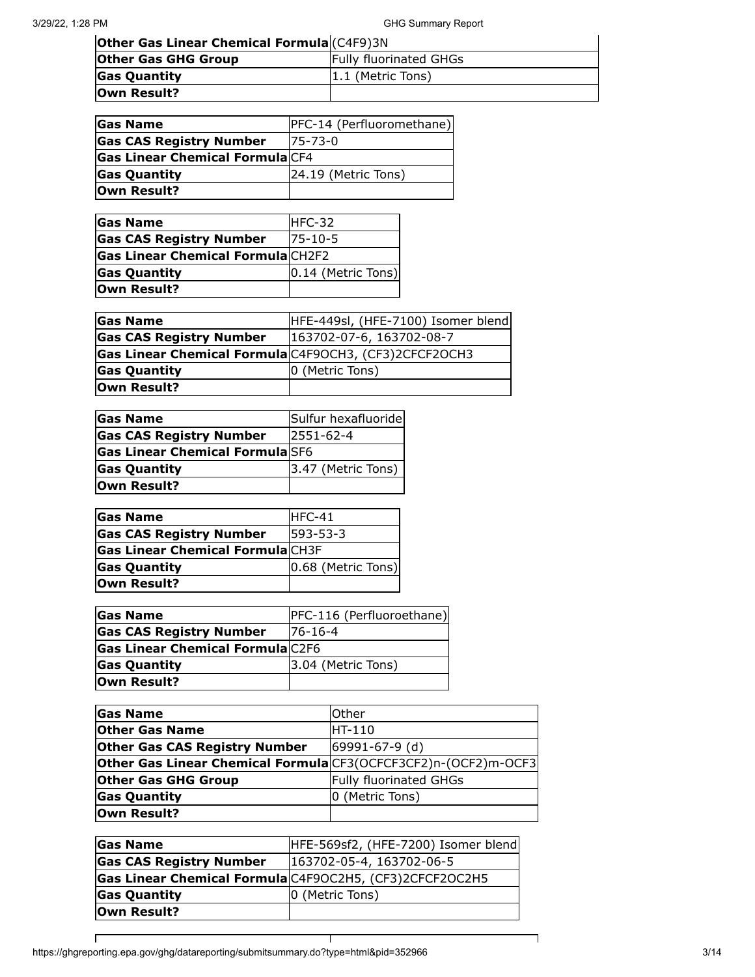**Other Gas Linear Chemical Formula** (C4F9)3N

| <b>Puller Gas Linear Chemical Formula</b> (CTI 3731) |                               |
|------------------------------------------------------|-------------------------------|
| <b>Other Gas GHG Group</b>                           | <b>Fully fluorinated GHGs</b> |
| <b>Gas Quantity</b>                                  | $ 1.1$ (Metric Tons)          |
| Own Result?                                          |                               |

| <b>Gas Name</b>                        | PFC-14 (Perfluoromethane) |
|----------------------------------------|---------------------------|
| <b>Gas CAS Registry Number</b>         | $175 - 73 - 0$            |
| <b>Gas Linear Chemical Formula</b> CF4 |                           |
| <b>Gas Quantity</b>                    | 24.19 (Metric Tons)       |
| Own Result?                            |                           |

| <b>Gas Name</b>                          | IHFC-32               |
|------------------------------------------|-----------------------|
| <b>Gas CAS Registry Number</b>           | $175 - 10 - 5$        |
| <b>Gas Linear Chemical Formula</b> CH2F2 |                       |
| <b>Gas Quantity</b>                      | $[0.14$ (Metric Tons) |
| Own Result?                              |                       |

| <b>Gas Name</b>                                       | HFE-449sl, (HFE-7100) Isomer blend |
|-------------------------------------------------------|------------------------------------|
| <b>Gas CAS Registry Number</b>                        | $ 163702-07-6, 163702-08-7$        |
| Gas Linear Chemical Formula C4F90CH3, (CF3)2CFCF20CH3 |                                    |
| <b>Gas Quantity</b>                                   | 0 (Metric Tons)                    |
| Own Result?                                           |                                    |

| <b>Gas Name</b>                        | Sulfur hexafluoride   |
|----------------------------------------|-----------------------|
| <b>Gas CAS Registry Number</b>         | $12551 - 62 - 4$      |
| <b>Gas Linear Chemical Formula</b> SF6 |                       |
| <b>Gas Quantity</b>                    | $ 3.47$ (Metric Tons) |
| <b>Own Result?</b>                     |                       |

| <b>Gas Name</b>                         | $HFC-41$           |
|-----------------------------------------|--------------------|
| <b>Gas CAS Registry Number</b>          | 1593-53-3          |
| <b>Gas Linear Chemical Formula CH3F</b> |                    |
| <b>Gas Quantity</b>                     | 0.68 (Metric Tons) |
| Own Result?                             |                    |

| <b>Gas Name</b>                         | PFC-116 (Perfluoroethane) |
|-----------------------------------------|---------------------------|
| <b>Gas CAS Registry Number</b>          | $76 - 16 - 4$             |
| <b>Gas Linear Chemical Formula</b> C2F6 |                           |
| <b>Gas Quantity</b>                     | 3.04 (Metric Tons)        |
| <b>Own Result?</b>                      |                           |

| <b>Gas Name</b>                                                | lOther                        |
|----------------------------------------------------------------|-------------------------------|
| <b>Other Gas Name</b>                                          | HT-110                        |
| <b>Other Gas CAS Registry Number</b>                           | 69991-67-9 (d)                |
| Other Gas Linear Chemical Formula CF3(OCFCF3CF2)n-(OCF2)m-OCF3 |                               |
| <b>Other Gas GHG Group</b>                                     | <b>Fully fluorinated GHGs</b> |
| <b>Gas Quantity</b>                                            | 0 (Metric Tons)               |
| Own Result?                                                    |                               |

| <b>Gas Name</b>                        | HFE-569sf2, (HFE-7200) Isomer blend                     |
|----------------------------------------|---------------------------------------------------------|
| <b>Gas CAS Registry Number</b>         | 163702-05-4, 163702-06-5                                |
|                                        | Gas Linear Chemical Formula C4F90C2H5, (CF3)2CFCF20C2H5 |
| <b>Gas Quantity</b><br>0 (Metric Tons) |                                                         |
| Own Result?                            |                                                         |

⊤

 $\Gamma$ 

┑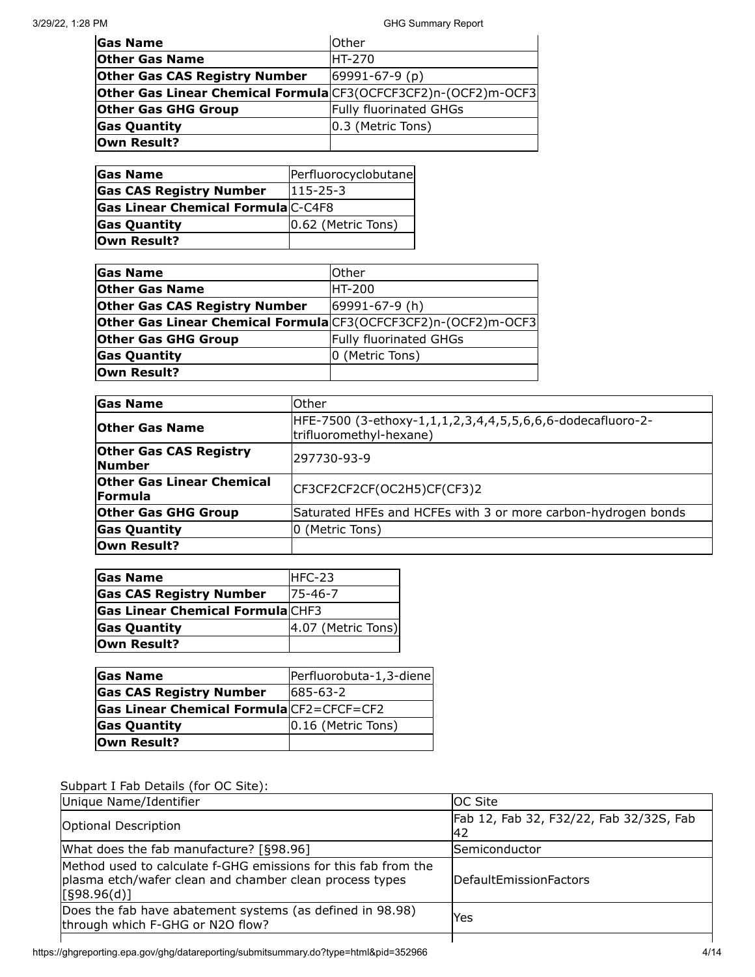| <b>Gas Name</b>                                                | <b>Other</b>                  |
|----------------------------------------------------------------|-------------------------------|
| <b>Other Gas Name</b>                                          | <b>HT-270</b>                 |
| <b>Other Gas CAS Registry Number</b>                           | $69991 - 67 - 9(p)$           |
| Other Gas Linear Chemical Formula CF3(OCFCF3CF2)n-(OCF2)m-OCF3 |                               |
| <b>Other Gas GHG Group</b>                                     | <b>Fully fluorinated GHGs</b> |
| <b>Gas Quantity</b>                                            | 0.3 (Metric Tons)             |
| Own Result?                                                    |                               |

| <b>Gas Name</b>                    | Perfluorocyclobutane |
|------------------------------------|----------------------|
| <b>Gas CAS Registry Number</b>     | $1115 - 25 - 3$      |
| Gas Linear Chemical Formula C-C4F8 |                      |
| <b>Gas Quantity</b>                | 0.62 (Metric Tons)   |
| Own Result?                        |                      |

| <b>Gas Name</b>                                                | Other                         |
|----------------------------------------------------------------|-------------------------------|
| <b>Other Gas Name</b>                                          | <b>HT-200</b>                 |
| <b>Other Gas CAS Registry Number</b>                           | 69991-67-9 (h)                |
| Other Gas Linear Chemical Formula CF3(OCFCF3CF2)n-(OCF2)m-OCF3 |                               |
| <b>Other Gas GHG Group</b>                                     | <b>Fully fluorinated GHGs</b> |
| <b>Gas Quantity</b>                                            | 0 (Metric Tons)               |
| Own Result?                                                    |                               |

| <b>Gas Name</b>                                    | Other                                                                                 |
|----------------------------------------------------|---------------------------------------------------------------------------------------|
| <b>Other Gas Name</b>                              | HFE-7500 (3-ethoxy-1,1,1,2,3,4,4,5,5,6,6,6-dodecafluoro-2-<br>trifluoromethyl-hexane) |
| <b>Other Gas CAS Registry</b><br><b>Number</b>     | 297730-93-9                                                                           |
| <b>Other Gas Linear Chemical</b><br><b>Formula</b> | CF3CF2CF2CF(OC2H5)CF(CF3)2                                                            |
| <b>Other Gas GHG Group</b>                         | Saturated HFEs and HCFEs with 3 or more carbon-hydrogen bonds                         |
| <b>Gas Quantity</b>                                | 0 (Metric Tons)                                                                       |
| Own Result?                                        |                                                                                       |

| <b>Gas Name</b>                         | HFC-23             |
|-----------------------------------------|--------------------|
| <b>Gas CAS Registry Number</b>          | $175 - 46 - 7$     |
| <b>Gas Linear Chemical Formula CHF3</b> |                    |
| <b>Gas Quantity</b>                     | 4.07 (Metric Tons) |
| Own Result?                             |                    |

| <b>Gas Name</b>                                 | Perfluorobuta-1,3-diene |
|-------------------------------------------------|-------------------------|
| <b>Gas CAS Registry Number</b>                  | 685-63-2                |
| <b>Gas Linear Chemical Formula</b> CF2=CFCF=CF2 |                         |
| <b>Gas Quantity</b>                             | 0.16 (Metric Tons)      |
| Own Result?                                     |                         |

# Subpart I Fab Details (for OC Site):

| Unique Name/Identifier                                                                                                                   | <b>OC Site</b>                                |
|------------------------------------------------------------------------------------------------------------------------------------------|-----------------------------------------------|
| <b>Optional Description</b>                                                                                                              | Fab 12, Fab 32, F32/22, Fab 32/32S, Fab<br>42 |
| What does the fab manufacture? [§98.96]                                                                                                  | lSemiconductor                                |
| Method used to calculate f-GHG emissions for this fab from the<br>plasma etch/wafer clean and chamber clean process types<br>[598.96(d)] | lDefaultEmissionFactors                       |
| Does the fab have abatement systems (as defined in 98.98)<br>through which F-GHG or N2O flow?                                            | Yes                                           |
|                                                                                                                                          |                                               |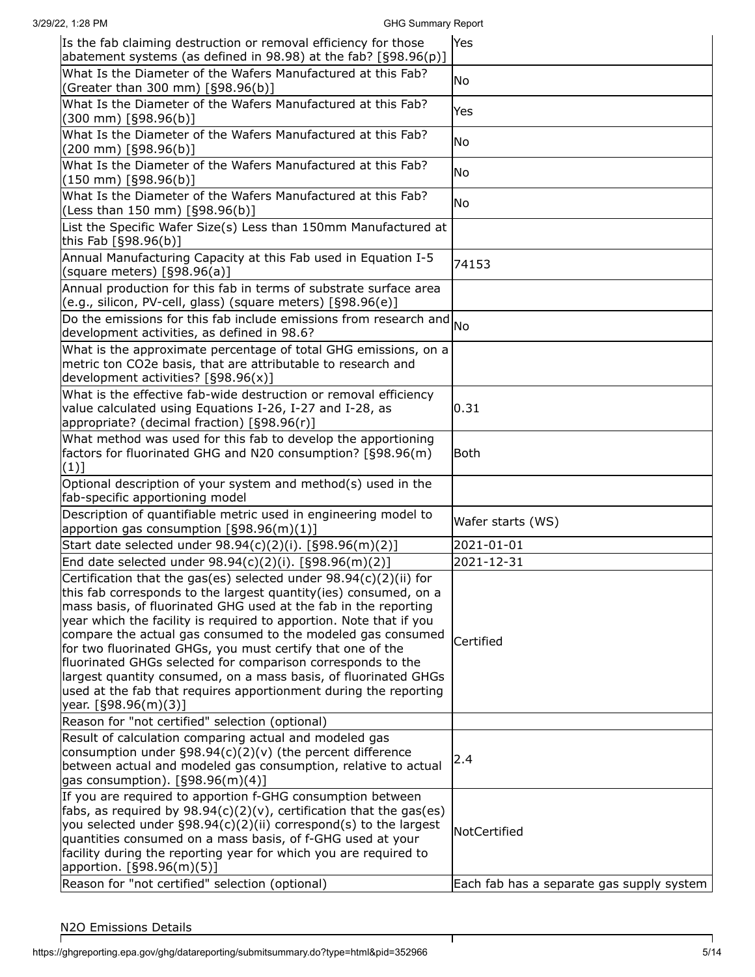| 3/29/22, 1:28 PM                                                                                                                                                                                                                                                                                                                                                                                                                                                                                                                                                                                                                          | <b>GHG Summary Report</b> |                                           |
|-------------------------------------------------------------------------------------------------------------------------------------------------------------------------------------------------------------------------------------------------------------------------------------------------------------------------------------------------------------------------------------------------------------------------------------------------------------------------------------------------------------------------------------------------------------------------------------------------------------------------------------------|---------------------------|-------------------------------------------|
| Is the fab claiming destruction or removal efficiency for those<br>abatement systems (as defined in 98.98) at the fab? $[§98.96(p)]$                                                                                                                                                                                                                                                                                                                                                                                                                                                                                                      |                           | Yes                                       |
| What Is the Diameter of the Wafers Manufactured at this Fab?<br>(Greater than 300 mm) [§98.96(b)]                                                                                                                                                                                                                                                                                                                                                                                                                                                                                                                                         |                           | No                                        |
| What Is the Diameter of the Wafers Manufactured at this Fab?<br>$(300$ mm) [§98.96(b)]                                                                                                                                                                                                                                                                                                                                                                                                                                                                                                                                                    |                           | Yes                                       |
| What Is the Diameter of the Wafers Manufactured at this Fab?<br>(200 mm) [§98.96(b)]                                                                                                                                                                                                                                                                                                                                                                                                                                                                                                                                                      |                           | No.                                       |
| What Is the Diameter of the Wafers Manufactured at this Fab?<br>$(150 \text{ mm})$ [§98.96(b)]                                                                                                                                                                                                                                                                                                                                                                                                                                                                                                                                            |                           | No.                                       |
| What Is the Diameter of the Wafers Manufactured at this Fab?<br>(Less than 150 mm) [§98.96(b)]                                                                                                                                                                                                                                                                                                                                                                                                                                                                                                                                            |                           | No                                        |
| List the Specific Wafer Size(s) Less than 150mm Manufactured at<br>this Fab [§98.96(b)]                                                                                                                                                                                                                                                                                                                                                                                                                                                                                                                                                   |                           |                                           |
| Annual Manufacturing Capacity at this Fab used in Equation I-5<br>(square meters) [§98.96(a)]                                                                                                                                                                                                                                                                                                                                                                                                                                                                                                                                             |                           | 74153                                     |
| Annual production for this fab in terms of substrate surface area<br>(e.g., silicon, PV-cell, glass) (square meters) [§98.96(e)]                                                                                                                                                                                                                                                                                                                                                                                                                                                                                                          |                           |                                           |
| Do the emissions for this fab include emissions from research and $_{\text{No}}$<br>development activities, as defined in 98.6?                                                                                                                                                                                                                                                                                                                                                                                                                                                                                                           |                           |                                           |
| What is the approximate percentage of total GHG emissions, on a<br>metric ton CO2e basis, that are attributable to research and<br>development activities? [§98.96(x)]                                                                                                                                                                                                                                                                                                                                                                                                                                                                    |                           |                                           |
| What is the effective fab-wide destruction or removal efficiency<br>value calculated using Equations I-26, I-27 and I-28, as<br>appropriate? (decimal fraction) [§98.96(r)]                                                                                                                                                                                                                                                                                                                                                                                                                                                               |                           | 0.31                                      |
| What method was used for this fab to develop the apportioning<br>factors for fluorinated GHG and N20 consumption? [§98.96(m)<br>(1)]                                                                                                                                                                                                                                                                                                                                                                                                                                                                                                      |                           | <b>Both</b>                               |
| Optional description of your system and method(s) used in the<br>fab-specific apportioning model                                                                                                                                                                                                                                                                                                                                                                                                                                                                                                                                          |                           |                                           |
| Description of quantifiable metric used in engineering model to<br>apportion gas consumption $[§98.96(m)(1)]$                                                                                                                                                                                                                                                                                                                                                                                                                                                                                                                             |                           | Wafer starts (WS)                         |
| Start date selected under 98.94(c)(2)(i). [§98.96(m)(2)]                                                                                                                                                                                                                                                                                                                                                                                                                                                                                                                                                                                  |                           | 2021-01-01                                |
| End date selected under 98.94(c)(2)(i). [§98.96(m)(2)]                                                                                                                                                                                                                                                                                                                                                                                                                                                                                                                                                                                    |                           | 2021-12-31                                |
| Certification that the gas(es) selected under 98.94(c)(2)(ii) for<br>this fab corresponds to the largest quantity(ies) consumed, on a<br>mass basis, of fluorinated GHG used at the fab in the reporting<br>year which the facility is required to apportion. Note that if you<br>compare the actual gas consumed to the modeled gas consumed<br>for two fluorinated GHGs, you must certify that one of the<br>fluorinated GHGs selected for comparison corresponds to the<br>largest quantity consumed, on a mass basis, of fluorinated GHGs<br>used at the fab that requires apportionment during the reporting<br>year. [§98.96(m)(3)] |                           | Certified                                 |
| Reason for "not certified" selection (optional)                                                                                                                                                                                                                                                                                                                                                                                                                                                                                                                                                                                           |                           |                                           |
| Result of calculation comparing actual and modeled gas<br>consumption under $\S 98.94(c)(2)(v)$ (the percent difference<br>between actual and modeled gas consumption, relative to actual<br>gas consumption). $[§98.96(m)(4)]$                                                                                                                                                                                                                                                                                                                                                                                                           |                           | 2.4                                       |
| If you are required to apportion f-GHG consumption between<br>fabs, as required by $98.94(c)(2)(v)$ , certification that the gas(es)<br>you selected under §98.94(c)(2)(ii) correspond(s) to the largest<br>quantities consumed on a mass basis, of f-GHG used at your<br>facility during the reporting year for which you are required to<br>apportion. [§98.96(m)(5)]                                                                                                                                                                                                                                                                   |                           | NotCertified                              |
| Reason for "not certified" selection (optional)                                                                                                                                                                                                                                                                                                                                                                                                                                                                                                                                                                                           |                           | Each fab has a separate gas supply system |

 $\mathbf{I}$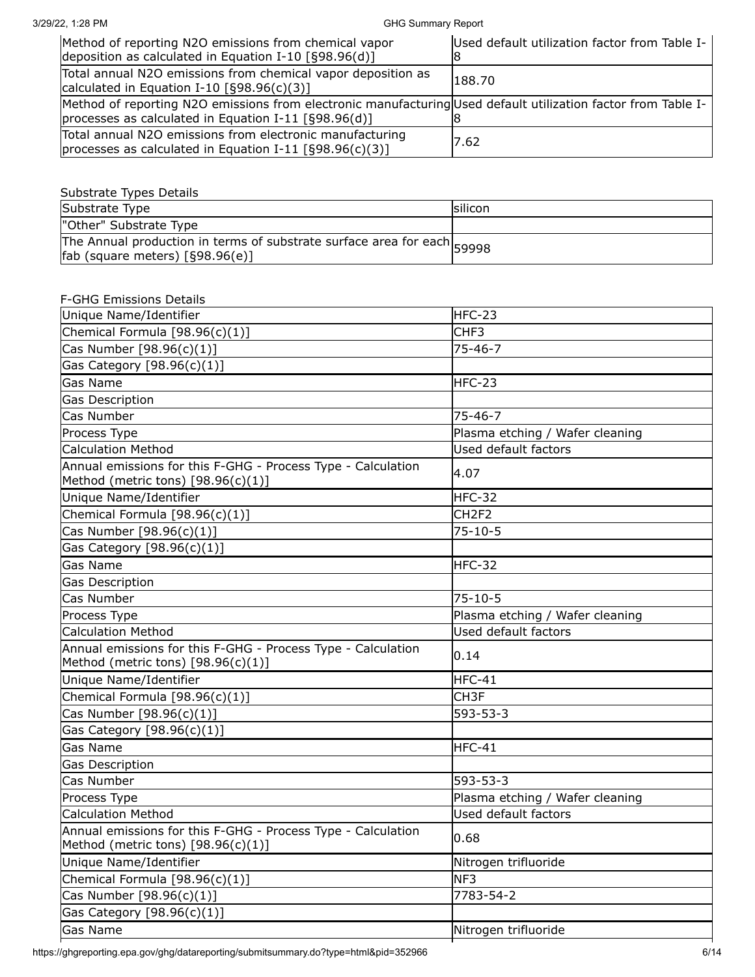#### 3/29/22, 1:28 PM GHG Summary Report

| Method of reporting N2O emissions from chemical vapor<br>deposition as calculated in Equation I-10 $[§98.96(d)]$                                                      | Used default utilization factor from Table I- |
|-----------------------------------------------------------------------------------------------------------------------------------------------------------------------|-----------------------------------------------|
| Total annual N2O emissions from chemical vapor deposition as<br>calculated in Equation I-10 $[§98.96(c)(3)]$                                                          | 188.70                                        |
| Method of reporting N2O emissions from electronic manufacturing Used default utilization factor from Table I-<br>processes as calculated in Equation I-11 [§98.96(d)] |                                               |
| Total annual N2O emissions from electronic manufacturing<br>processes as calculated in Equation I-11 [§98.96(c)(3)]                                                   | 17.62                                         |

#### Substrate Types Details

| Substrate Type                                                                                               | <b>Isilicon</b> |
|--------------------------------------------------------------------------------------------------------------|-----------------|
| "Other" Substrate Type                                                                                       |                 |
| The Annual production in terms of substrate surface area for each 59998<br>fab (square meters) $[§98.96(e)]$ |                 |

# F-GHG Emissions Details Unique Name/Identifier **Hercity** HFC-23  $Chemical Formula [98.96(c)(1)]$   $[CHF3]$ Cas Number [98.96(c)(1)] 75-46-7 Gas Category [98.96(c)(1)] Gas Name **HFC-23** Gas Description Cas Number 75-46-7 Process Type **Plasma etching / Wafer cleaning** Calculation Method Used default factors Annual emissions for this F-GHG - Process Type - Calculation Method (metric tons) [98.96(c)(1)] 4.07 Unique Name/Identifier **Herce and Contact Contact Contact Contact Contact Contact Contact Contact Contact Contact Contact Contact Contact Contact Contact Contact Contact Contact Contact Contact Contact Contact Contact Cont**  $Chemical Formula [98.96(c)(1)]$   $[CH2F2]$ Cas Number [98.96(c)(1)] 75-10-5 Gas Category [98.96(c)(1)] Gas Name HFC-32 Gas Description Cas Number 75-10-5 Process Type Process Type Plasma etching / Wafer cleaning in the Plasma etching / Wafer cleaning Calculation Method Used default factors Annual emissions for this F-GHG - Process Type - Calculation Method (metric tons) [98.96(c)(1)] 0.14 Unique Name/Identifier **Hercity** HFC-41  $Chemical Formula [98.96(c)(1)]$  Chemical Formula  $[98.96(c)(1)]$ Cas Number [98.96(c)(1)] 593-53-3 Gas Category [98.96(c)(1)] Gas Name **HFC-41** Gas Description Cas Number 593-53-3 Process Type **Plasma** etching / Wafer cleaning **Plasma** etching / Wafer cleaning Calculation Method Used default factors Annual emissions for this F-GHG - Process Type - Calculation Method (metric tons) [98.96(c)(1)] 0.68 Unique Name/Identifier Nitrogen trifluoride Chemical Formula  $[98.96(c)(1)]$  NF3 Cas Number [98.96(c)(1)] 7783-54-2 Gas Category [98.96(c)(1)] Gas Name **Nitrogen trifluoride** and the Nitrogen trifluoride

https://ghgreporting.epa.gov/ghg/datareporting/submitsummary.do?type=html&pid=352966 6/14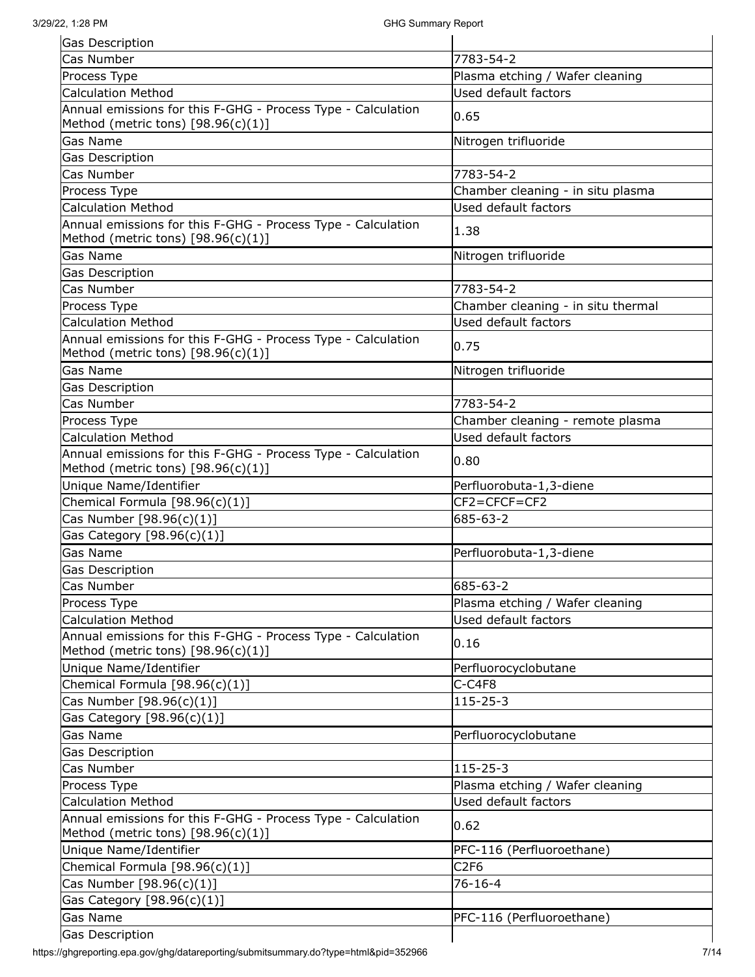| Gas Description                                                                                      |                                    |
|------------------------------------------------------------------------------------------------------|------------------------------------|
| Cas Number                                                                                           | 7783-54-2                          |
| Process Type                                                                                         | Plasma etching / Wafer cleaning    |
| <b>Calculation Method</b>                                                                            | Used default factors               |
| Annual emissions for this F-GHG - Process Type - Calculation                                         | 0.65                               |
| Method (metric tons) $[98.96(c)(1)]$                                                                 |                                    |
| Gas Name                                                                                             | Nitrogen trifluoride               |
| Gas Description                                                                                      |                                    |
| Cas Number                                                                                           | 7783-54-2                          |
| Process Type                                                                                         | Chamber cleaning - in situ plasma  |
| <b>Calculation Method</b>                                                                            | Used default factors               |
| Annual emissions for this F-GHG - Process Type - Calculation                                         | 1.38                               |
| Method (metric tons) $[98.96(c)(1)]$                                                                 |                                    |
| Gas Name                                                                                             | Nitrogen trifluoride               |
| Gas Description                                                                                      |                                    |
| Cas Number                                                                                           | 7783-54-2                          |
| Process Type                                                                                         | Chamber cleaning - in situ thermal |
| <b>Calculation Method</b>                                                                            | Used default factors               |
| Annual emissions for this F-GHG - Process Type - Calculation                                         |                                    |
| Method (metric tons) $[98.96(c)(1)]$                                                                 | 0.75                               |
| Gas Name                                                                                             | Nitrogen trifluoride               |
| Gas Description                                                                                      |                                    |
| Cas Number                                                                                           | 7783-54-2                          |
| Process Type                                                                                         | Chamber cleaning - remote plasma   |
| <b>Calculation Method</b>                                                                            | Used default factors               |
| Annual emissions for this F-GHG - Process Type - Calculation                                         |                                    |
| Method (metric tons) $[98.96(c)(1)]$                                                                 | 0.80                               |
| Unique Name/Identifier                                                                               | Perfluorobuta-1,3-diene            |
| Chemical Formula [98.96(c)(1)]                                                                       | CF2=CFCF=CF2                       |
|                                                                                                      |                                    |
|                                                                                                      |                                    |
| Cas Number [98.96(c)(1)]                                                                             | 685-63-2                           |
| Gas Category [98.96(c)(1)]                                                                           |                                    |
| Gas Name                                                                                             | Perfluorobuta-1,3-diene            |
| <b>Gas Description</b>                                                                               |                                    |
| Cas Number                                                                                           | 685-63-2                           |
| Process Type                                                                                         | Plasma etching / Wafer cleaning    |
| <b>Calculation Method</b>                                                                            | Used default factors               |
| Annual emissions for this F-GHG - Process Type - Calculation                                         | 0.16                               |
| Method (metric tons) $[98.96(c)(1)]$                                                                 |                                    |
| Unique Name/Identifier                                                                               | Perfluorocyclobutane               |
| Chemical Formula $[98.96(c)(1)]$                                                                     | C-C4F8                             |
| Cas Number [98.96(c)(1)]                                                                             | 115-25-3                           |
| Gas Category [98.96(c)(1)]                                                                           |                                    |
| Gas Name                                                                                             | Perfluorocyclobutane               |
| Gas Description                                                                                      |                                    |
| Cas Number                                                                                           | $115 - 25 - 3$                     |
| Process Type                                                                                         | Plasma etching / Wafer cleaning    |
| <b>Calculation Method</b>                                                                            | Used default factors               |
| Annual emissions for this F-GHG - Process Type - Calculation<br>Method (metric tons) $[98.96(c)(1)]$ | 0.62                               |
| Unique Name/Identifier                                                                               | PFC-116 (Perfluoroethane)          |
| Chemical Formula [98.96(c)(1)]                                                                       | C <sub>2F6</sub>                   |
| Cas Number [98.96(c)(1)]                                                                             | $76 - 16 - 4$                      |
| Gas Category [98.96(c)(1)]                                                                           |                                    |
| Gas Name                                                                                             | PFC-116 (Perfluoroethane)          |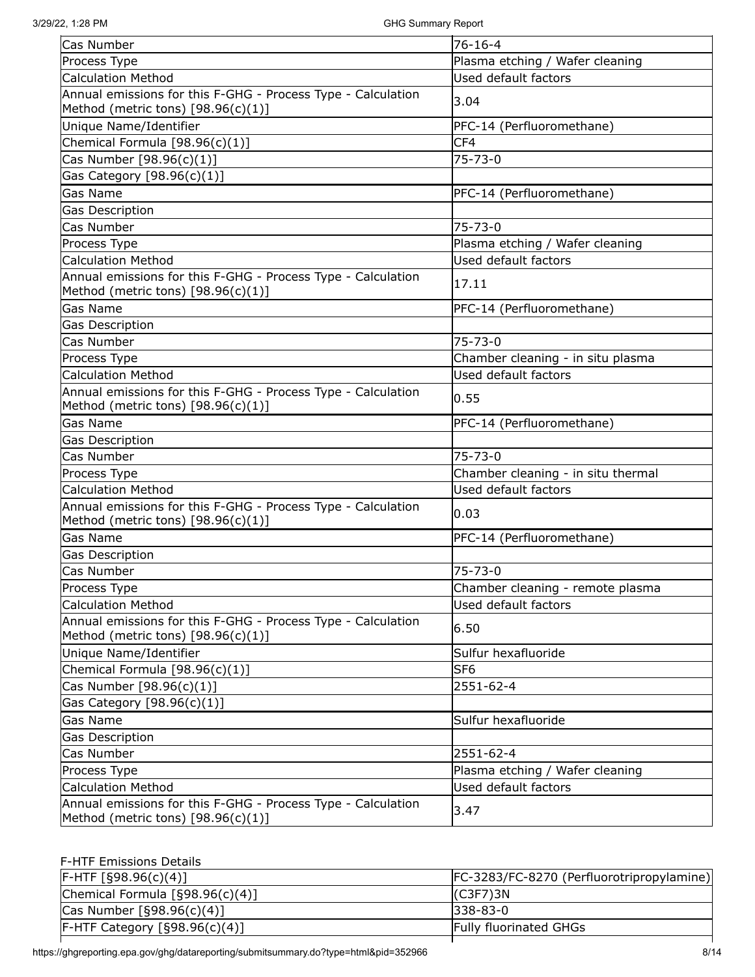| Cas Number                                                                                           | $76 - 16 - 4$                      |
|------------------------------------------------------------------------------------------------------|------------------------------------|
| Process Type                                                                                         | Plasma etching / Wafer cleaning    |
| <b>Calculation Method</b>                                                                            | Used default factors               |
| Annual emissions for this F-GHG - Process Type - Calculation<br>Method (metric tons) $[98.96(c)(1)]$ | 3.04                               |
| Unique Name/Identifier                                                                               | PFC-14 (Perfluoromethane)          |
| Chemical Formula $[98.96(c)(1)]$                                                                     | CF4                                |
| Cas Number [98.96(c)(1)]                                                                             | $75 - 73 - 0$                      |
| Gas Category [98.96(c)(1)]                                                                           |                                    |
| Gas Name                                                                                             | PFC-14 (Perfluoromethane)          |
| Gas Description                                                                                      |                                    |
| Cas Number                                                                                           | 75-73-0                            |
| Process Type                                                                                         | Plasma etching / Wafer cleaning    |
| <b>Calculation Method</b>                                                                            | Used default factors               |
| Annual emissions for this F-GHG - Process Type - Calculation<br>Method (metric tons) $[98.96(c)(1)]$ | 17.11                              |
| Gas Name                                                                                             | PFC-14 (Perfluoromethane)          |
| Gas Description                                                                                      |                                    |
| Cas Number                                                                                           | 75-73-0                            |
| Process Type                                                                                         | Chamber cleaning - in situ plasma  |
| <b>Calculation Method</b>                                                                            | Used default factors               |
| Annual emissions for this F-GHG - Process Type - Calculation<br>Method (metric tons) $[98.96(c)(1)]$ | 0.55                               |
| <b>Gas Name</b>                                                                                      | PFC-14 (Perfluoromethane)          |
| Gas Description                                                                                      |                                    |
| Cas Number                                                                                           | $75 - 73 - 0$                      |
| Process Type                                                                                         | Chamber cleaning - in situ thermal |
| <b>Calculation Method</b>                                                                            | Used default factors               |
| Annual emissions for this F-GHG - Process Type - Calculation<br>Method (metric tons) $[98.96(c)(1)]$ | 0.03                               |
| <b>Gas Name</b>                                                                                      | PFC-14 (Perfluoromethane)          |
| Gas Description                                                                                      |                                    |
| Cas Number                                                                                           | $75 - 73 - 0$                      |
| Process Type                                                                                         | Chamber cleaning - remote plasma   |
| <b>Calculation Method</b>                                                                            | Used default factors               |
| Annual emissions for this F-GHG - Process Type - Calculation<br>Method (metric tons) $[98.96(c)(1)]$ | 6.50                               |
| Unique Name/Identifier                                                                               | Sulfur hexafluoride                |
| Chemical Formula [98.96(c)(1)]                                                                       | SF <sub>6</sub>                    |
| Cas Number [98.96(c)(1)]                                                                             | 2551-62-4                          |
| Gas Category [98.96(c)(1)]                                                                           |                                    |
| Gas Name                                                                                             | Sulfur hexafluoride                |
| Gas Description                                                                                      |                                    |
| Cas Number                                                                                           | 2551-62-4                          |
| Process Type                                                                                         | Plasma etching / Wafer cleaning    |
| <b>Calculation Method</b>                                                                            | Used default factors               |
| Annual emissions for this F-GHG - Process Type - Calculation<br>Method (metric tons) $[98.96(c)(1)]$ | 3.47                               |

# F-HTF Emissions Details

| $ F-HTF [§98.96(c)(4)]$            | FC-3283/FC-8270 (Perfluorotripropylamine) |
|------------------------------------|-------------------------------------------|
| Chemical Formula $[§98.96(c)(4)]$  | IC3F7)3N                                  |
| Cas Number $[§98.96(c)(4)]$        | $1338 - 83 - 0$                           |
| $F$ -HTF Category $[§98.96(c)(4)]$ | <b>Fully fluorinated GHGs</b>             |
|                                    |                                           |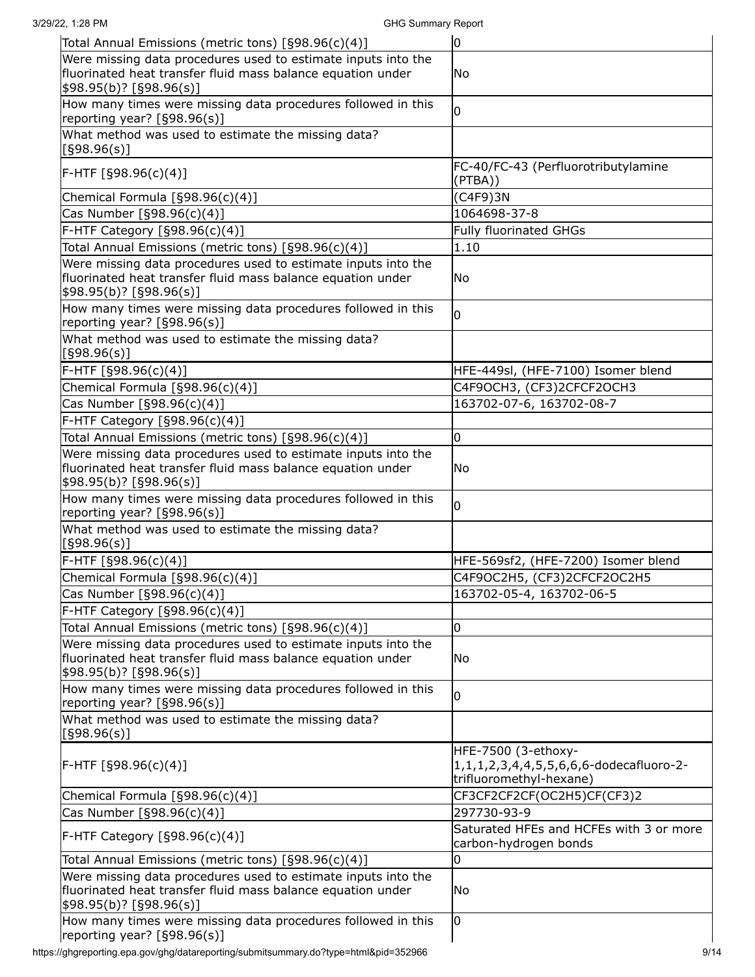| 3/29/22, 1:28 PM                                                                                                                                                 | <b>GHG Summary Report</b>                                                                            |
|------------------------------------------------------------------------------------------------------------------------------------------------------------------|------------------------------------------------------------------------------------------------------|
| Total Annual Emissions (metric tons) [§98.96(c)(4)]                                                                                                              | lо                                                                                                   |
| Were missing data procedures used to estimate inputs into the<br>fluorinated heat transfer fluid mass balance equation under<br>\$98.95(b)? [§98.96(s)]          | No.                                                                                                  |
| How many times were missing data procedures followed in this<br>reporting year? [§98.96(s)]                                                                      | l0                                                                                                   |
| What method was used to estimate the missing data?<br>[§98.96(s)]                                                                                                |                                                                                                      |
| F-HTF [§98.96(c)(4)]                                                                                                                                             | FC-40/FC-43 (Perfluorotributylamine<br>(PTBA))                                                       |
| Chemical Formula [§98.96(c)(4)]                                                                                                                                  | (C4F9)3N                                                                                             |
| Cas Number [§98.96(c)(4)]                                                                                                                                        | 1064698-37-8                                                                                         |
| F-HTF Category [§98.96(c)(4)]                                                                                                                                    | <b>Fully fluorinated GHGs</b>                                                                        |
| Total Annual Emissions (metric tons) [§98.96(c)(4)]                                                                                                              | 1.10                                                                                                 |
| Were missing data procedures used to estimate inputs into the<br>fluorinated heat transfer fluid mass balance equation under<br>$\frac{1}{98.95(b)}$ [§98.96(s)] | No                                                                                                   |
| How many times were missing data procedures followed in this<br>reporting year? [§98.96(s)]                                                                      | $\overline{0}$                                                                                       |
| What method was used to estimate the missing data?<br>[§98.96(s)]                                                                                                |                                                                                                      |
| F-HTF [§98.96(c)(4)]                                                                                                                                             | HFE-449sl, (HFE-7100) Isomer blend                                                                   |
| Chemical Formula [§98.96(c)(4)]                                                                                                                                  | C4F9OCH3, (CF3)2CFCF2OCH3                                                                            |
| Cas Number [§98.96(c)(4)]                                                                                                                                        | 163702-07-6, 163702-08-7                                                                             |
| F-HTF Category [§98.96(c)(4)]                                                                                                                                    |                                                                                                      |
| Total Annual Emissions (metric tons) [§98.96(c)(4)]                                                                                                              | O                                                                                                    |
| Were missing data procedures used to estimate inputs into the<br>fluorinated heat transfer fluid mass balance equation under<br>\$98.95(b)? [§98.96(s)]          | No.                                                                                                  |
| How many times were missing data procedures followed in this<br>reporting year? [§98.96(s)]                                                                      | l0                                                                                                   |
| What method was used to estimate the missing data?<br>[§98.96(s)]                                                                                                |                                                                                                      |
| F-HTF [§98.96(c)(4)]                                                                                                                                             | HFE-569sf2, (HFE-7200) Isomer blend                                                                  |
| Chemical Formula [§98.96(c)(4)]                                                                                                                                  | C4F9OC2H5, (CF3)2CFCF2OC2H5                                                                          |
| Cas Number [§98.96(c)(4)]                                                                                                                                        | 163702-05-4, 163702-06-5                                                                             |
| F-HTF Category [§98.96(c)(4)]                                                                                                                                    |                                                                                                      |
| Total Annual Emissions (metric tons) [§98.96(c)(4)]                                                                                                              | 0                                                                                                    |
| Were missing data procedures used to estimate inputs into the<br>fluorinated heat transfer fluid mass balance equation under<br>\$98.95(b)? [§98.96(s)]          | No.                                                                                                  |
| How many times were missing data procedures followed in this<br>reporting year? [§98.96(s)]                                                                      | l0                                                                                                   |
| What method was used to estimate the missing data?<br>[§98.96(s)]                                                                                                |                                                                                                      |
| F-HTF [§98.96(c)(4)]                                                                                                                                             | HFE-7500 (3-ethoxy-<br>1, 1, 1, 2, 3, 4, 4, 5, 5, 6, 6, 6-dodecafluoro-2-<br>trifluoromethyl-hexane) |
| Chemical Formula [§98.96(c)(4)]                                                                                                                                  | CF3CF2CF2CF(OC2H5)CF(CF3)2                                                                           |
| Cas Number [§98.96(c)(4)]                                                                                                                                        | 297730-93-9                                                                                          |
| $F$ -HTF Category $[§98.96(c)(4)]$                                                                                                                               | Saturated HFEs and HCFEs with 3 or more<br>carbon-hydrogen bonds                                     |
| Total Annual Emissions (metric tons) [§98.96(c)(4)]                                                                                                              | 0                                                                                                    |
| Were missing data procedures used to estimate inputs into the<br>fluorinated heat transfer fluid mass balance equation under<br>\$98.95(b)? [§98.96(s)]          | lNo                                                                                                  |
| How many times were missing data procedures followed in this<br>reporting year? [§98.96(s)]                                                                      | l0                                                                                                   |

https://ghgreporting.epa.gov/ghg/datareporting/submitsummary.do?type=html&pid=352966 9/14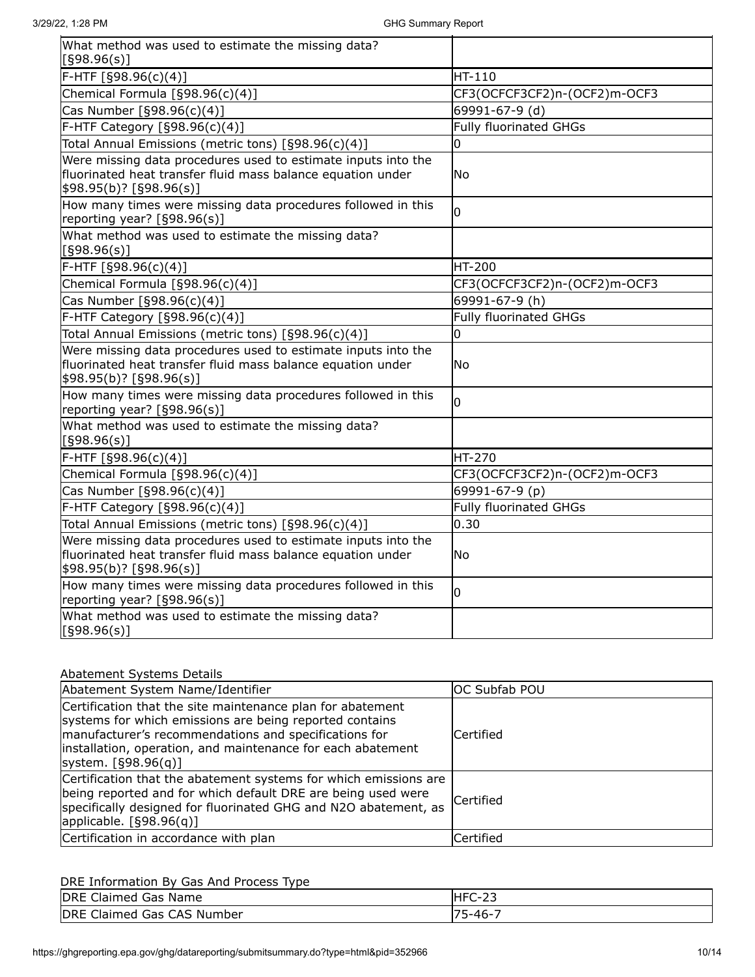| What method was used to estimate the missing data?<br>[§98.96(s)]                                                                                       |                               |
|---------------------------------------------------------------------------------------------------------------------------------------------------------|-------------------------------|
| F-HTF [§98.96(c)(4)]                                                                                                                                    | HT-110                        |
| Chemical Formula [§98.96(c)(4)]                                                                                                                         | CF3(OCFCF3CF2)n-(OCF2)m-OCF3  |
| Cas Number [§98.96(c)(4)]                                                                                                                               | 69991-67-9 (d)                |
| F-HTF Category [§98.96(c)(4)]                                                                                                                           | <b>Fully fluorinated GHGs</b> |
| Total Annual Emissions (metric tons) [§98.96(c)(4)]                                                                                                     | $\overline{0}$                |
| Were missing data procedures used to estimate inputs into the<br>fluorinated heat transfer fluid mass balance equation under<br>\$98.95(b)? [§98.96(s)] | <b>No</b>                     |
| How many times were missing data procedures followed in this<br>reporting year? [§98.96(s)]                                                             | l0                            |
| What method was used to estimate the missing data?<br>[§98.96(s)]                                                                                       |                               |
| F-HTF [§98.96(c)(4)]                                                                                                                                    | <b>HT-200</b>                 |
| Chemical Formula [§98.96(c)(4)]                                                                                                                         | CF3(OCFCF3CF2)n-(OCF2)m-OCF3  |
| $\overline{\text{Cas}}$ Number [§98.96(c)(4)]                                                                                                           | 69991-67-9 (h)                |
| F-HTF Category [§98.96(c)(4)]                                                                                                                           | <b>Fully fluorinated GHGs</b> |
| Total Annual Emissions (metric tons) [§98.96(c)(4)]                                                                                                     | 0                             |
| Were missing data procedures used to estimate inputs into the<br>fluorinated heat transfer fluid mass balance equation under<br>\$98.95(b)? [§98.96(s)] | <b>No</b>                     |
| How many times were missing data procedures followed in this<br>reporting year? [§98.96(s)]                                                             | l0                            |
| What method was used to estimate the missing data?<br>[§98.96(s)]                                                                                       |                               |
| F-HTF [§98.96(c)(4)]                                                                                                                                    | HT-270                        |
| Chemical Formula [§98.96(c)(4)]                                                                                                                         | CF3(OCFCF3CF2)n-(OCF2)m-OCF3  |
| Cas Number [§98.96(c)(4)]                                                                                                                               | 69991-67-9 (p)                |
| F-HTF Category [§98.96(c)(4)]                                                                                                                           | <b>Fully fluorinated GHGs</b> |
| Total Annual Emissions (metric tons) [§98.96(c)(4)]                                                                                                     | 0.30                          |
| Were missing data procedures used to estimate inputs into the<br>fluorinated heat transfer fluid mass balance equation under<br>\$98.95(b)? [§98.96(s)] | No                            |
| How many times were missing data procedures followed in this<br>reporting year? [§98.96(s)]                                                             | l0                            |
| What method was used to estimate the missing data?<br>[598.96(s)]                                                                                       |                               |

# Abatement Systems Details

| Abatement System Name/Identifier                                                                                                                                                                                                                                       | IOC Subfab POU   |
|------------------------------------------------------------------------------------------------------------------------------------------------------------------------------------------------------------------------------------------------------------------------|------------------|
| Certification that the site maintenance plan for abatement<br>systems for which emissions are being reported contains<br>manufacturer's recommendations and specifications for<br>installation, operation, and maintenance for each abatement<br>system. $[§98.96(q)]$ | lCertified       |
| Certification that the abatement systems for which emissions are<br>being reported and for which default DRE are being used were<br>specifically designed for fluorinated GHG and N2O abatement, as<br>applicable. $[§98.96(q)]$                                       | <b>Certified</b> |
| Certification in accordance with plan                                                                                                                                                                                                                                  | Certified        |

| <b>DRE</b><br>Claimed Gas Name | HFC-23  |
|--------------------------------|---------|
| <b>IDRE</b>                    | '5-46-' |
| : Claimed Gas CAS Number       | ™       |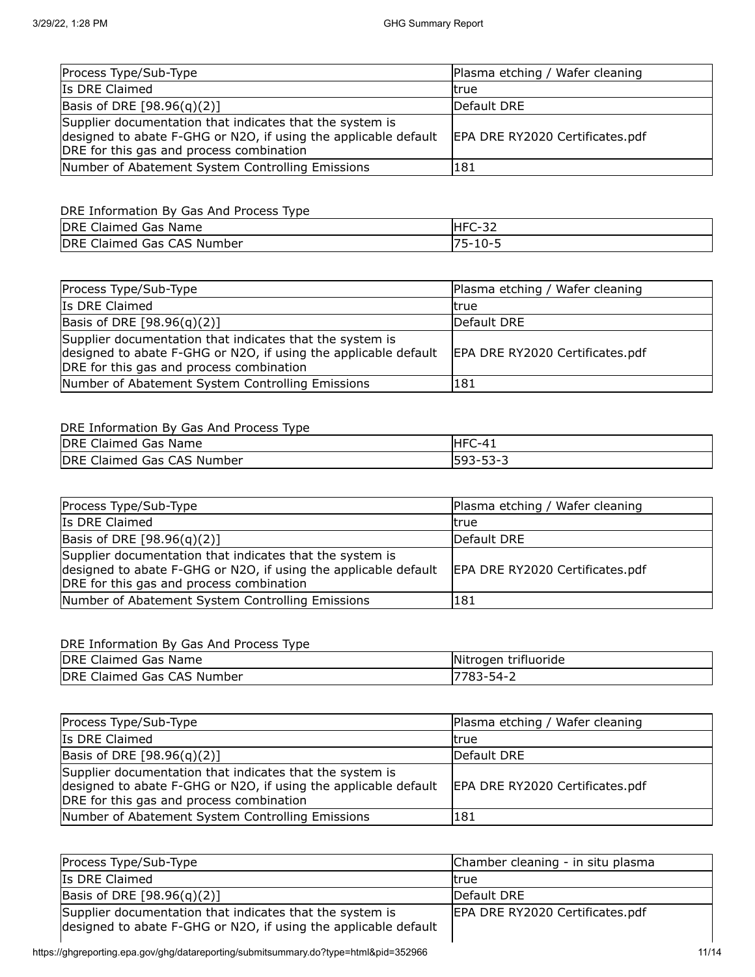| Process Type/Sub-Type                                                                                                                                                   | Plasma etching / Wafer cleaning |
|-------------------------------------------------------------------------------------------------------------------------------------------------------------------------|---------------------------------|
| Is DRE Claimed                                                                                                                                                          | Itrue                           |
| Basis of DRE $[98.96(q)(2)]$                                                                                                                                            | Default DRE                     |
| Supplier documentation that indicates that the system is<br>designed to abate F-GHG or N2O, if using the applicable default<br>DRE for this gas and process combination | EPA DRE RY2020 Certificates.pdf |
| Number of Abatement System Controlling Emissions                                                                                                                        | 181                             |

## DRE Information By Gas And Process Type

| <b>DRE</b><br>Gas<br>Name<br>Claimed '     | HFC-32<br>ັ |
|--------------------------------------------|-------------|
| <b>DRE</b><br>CAS Number<br>Gas<br>Claimed | $10 - 5$    |

| Process Type/Sub-Type                                                                                                                                                   | Plasma etching / Wafer cleaning |
|-------------------------------------------------------------------------------------------------------------------------------------------------------------------------|---------------------------------|
| Is DRE Claimed                                                                                                                                                          | ltrue                           |
| Basis of DRE $[98.96(q)(2)]$                                                                                                                                            | Default DRE                     |
| Supplier documentation that indicates that the system is<br>designed to abate F-GHG or N2O, if using the applicable default<br>DRE for this gas and process combination | EPA DRE RY2020 Certificates.pdf |
| Number of Abatement System Controlling Emissions                                                                                                                        | 181                             |

# DRE Information By Gas And Process Type

| <b>DRE</b><br>Claimed Gas Name | $HFC-41$ |
|--------------------------------|----------|
| DRE Claimed Gas CAS Number     | 593-53-3 |

| Process Type/Sub-Type                                                                                                                                                   | Plasma etching / Wafer cleaning |
|-------------------------------------------------------------------------------------------------------------------------------------------------------------------------|---------------------------------|
| Is DRE Claimed                                                                                                                                                          | ltrue                           |
| Basis of DRE [98.96(q)(2)]                                                                                                                                              | Default DRE                     |
| Supplier documentation that indicates that the system is<br>designed to abate F-GHG or N2O, if using the applicable default<br>DRE for this gas and process combination | EPA DRE RY2020 Certificates.pdf |
| Number of Abatement System Controlling Emissions                                                                                                                        | 181                             |

| <b>IDRE</b><br><sup>:</sup> Claimed Gas Name | Nitrogen trifluoride |
|----------------------------------------------|----------------------|
| DRE Claimed Gas CAS Number                   | 783<br>-3-54،        |

| Process Type/Sub-Type                                                                                                                                                   | Plasma etching / Wafer cleaning |
|-------------------------------------------------------------------------------------------------------------------------------------------------------------------------|---------------------------------|
| Is DRE Claimed                                                                                                                                                          | Itrue                           |
| Basis of DRE [98.96(q)(2)]                                                                                                                                              | Default DRE                     |
| Supplier documentation that indicates that the system is<br>designed to abate F-GHG or N2O, if using the applicable default<br>DRE for this gas and process combination | EPA DRE RY2020 Certificates.pdf |
| Number of Abatement System Controlling Emissions                                                                                                                        | 181                             |

| Process Type/Sub-Type                                                                                                       | Chamber cleaning - in situ plasma |
|-----------------------------------------------------------------------------------------------------------------------------|-----------------------------------|
| Is DRE Claimed                                                                                                              | Itrue                             |
| Basis of DRE $[98.96(q)(2)]$                                                                                                | Default DRE                       |
| Supplier documentation that indicates that the system is<br>designed to abate F-GHG or N2O, if using the applicable default | EPA DRE RY2020 Certificates.pdf   |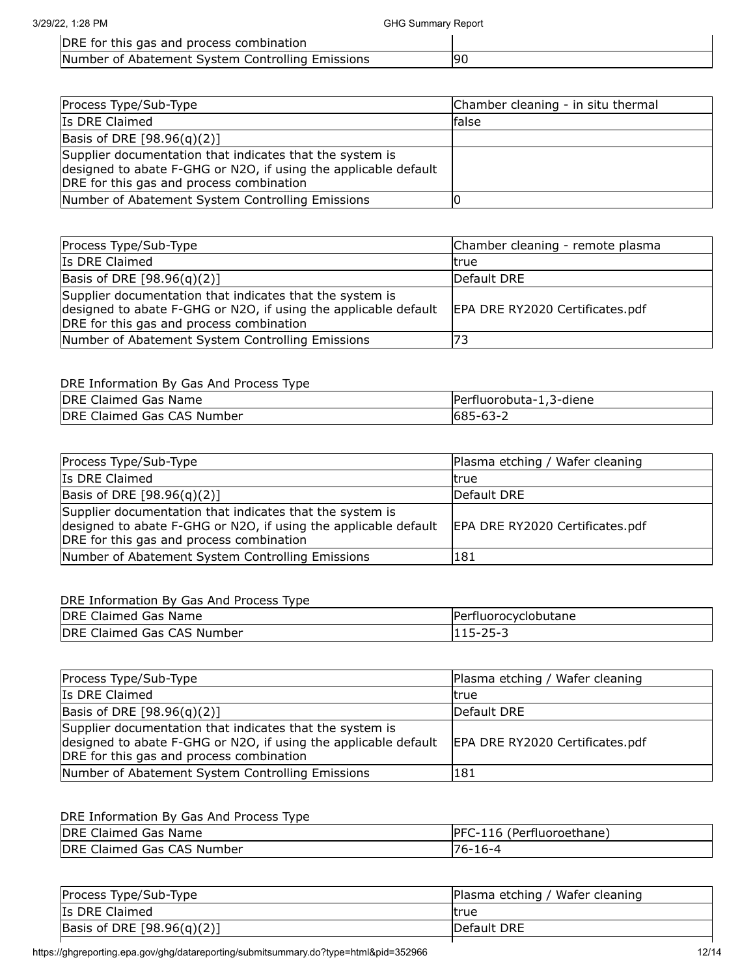DRE for this gas and process combination

Number of Abatement System Controlling Emissions | 90

| Process Type/Sub-Type                                                                                                                                                   | Chamber cleaning - in situ thermal |
|-------------------------------------------------------------------------------------------------------------------------------------------------------------------------|------------------------------------|
| Is DRE Claimed                                                                                                                                                          | lfalse                             |
| Basis of DRE $[98.96(q)(2)]$                                                                                                                                            |                                    |
| Supplier documentation that indicates that the system is<br>designed to abate F-GHG or N2O, if using the applicable default<br>DRE for this gas and process combination |                                    |
| Number of Abatement System Controlling Emissions                                                                                                                        |                                    |

| Process Type/Sub-Type                                                                                                                                                   | Chamber cleaning - remote plasma |
|-------------------------------------------------------------------------------------------------------------------------------------------------------------------------|----------------------------------|
| Is DRE Claimed                                                                                                                                                          | ltrue                            |
| Basis of DRE $[98.96(q)(2)]$                                                                                                                                            | Default DRE                      |
| Supplier documentation that indicates that the system is<br>designed to abate F-GHG or N2O, if using the applicable default<br>DRE for this gas and process combination | EPA DRE RY2020 Certificates.pdf  |
| Number of Abatement System Controlling Emissions                                                                                                                        |                                  |

#### DRE Information By Gas And Process Type

| DRE Claimed Gas Name       | Perfluorobuta-1,3-diene |
|----------------------------|-------------------------|
| DRE Claimed Gas CAS Number | $1685 - 63 - 2$         |

| Process Type/Sub-Type                                                                                                                                                   | Plasma etching / Wafer cleaning |
|-------------------------------------------------------------------------------------------------------------------------------------------------------------------------|---------------------------------|
| Is DRE Claimed                                                                                                                                                          | Itrue                           |
| Basis of DRE $[98.96(q)(2)]$                                                                                                                                            | Default DRE                     |
| Supplier documentation that indicates that the system is<br>designed to abate F-GHG or N2O, if using the applicable default<br>DRE for this gas and process combination | EPA DRE RY2020 Certificates.pdf |
| Number of Abatement System Controlling Emissions                                                                                                                        | 181                             |

#### DRE Information By Gas And Process Type

| <b>DRE</b><br>Claimed Gas Name | Perfluorocyclobutane      |
|--------------------------------|---------------------------|
| DRE Claimed Gas CAS Number     | $15 - 25 - 2$<br>ᆂᆂᆦ<br>້ |

| Process Type/Sub-Type                                                                                                                                                   | Plasma etching / Wafer cleaning |
|-------------------------------------------------------------------------------------------------------------------------------------------------------------------------|---------------------------------|
| Is DRE Claimed                                                                                                                                                          | Itrue                           |
| Basis of DRE [98.96(q)(2)]                                                                                                                                              | Default DRE                     |
| Supplier documentation that indicates that the system is<br>designed to abate F-GHG or N2O, if using the applicable default<br>DRE for this gas and process combination | EPA DRE RY2020 Certificates.pdf |
| Number of Abatement System Controlling Emissions                                                                                                                        | 181                             |

| <b>DRE</b><br>Claimed Gas Name | PFC-116 (Perfluoroethane) |
|--------------------------------|---------------------------|
| DRE Claimed Gas CAS Number     | $-16-4$<br>-76-1          |

| Plasma etching / Wafer cleaning |
|---------------------------------|
| ltrue                           |
| <b>IDefault DRE</b>             |
|                                 |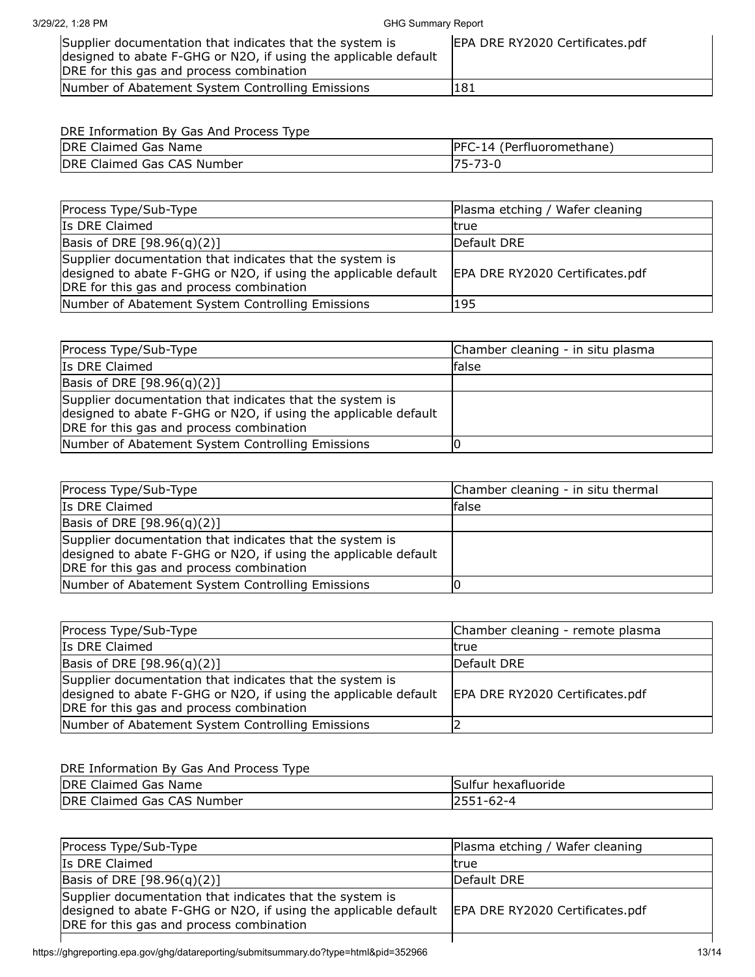3/29/22, 1:28 PM GHG Summary Report

| Supplier documentation that indicates that the system is<br>designed to abate F-GHG or N2O, if using the applicable default | EPA DRE RY2020 Certificates.pdf |
|-----------------------------------------------------------------------------------------------------------------------------|---------------------------------|
| DRE for this gas and process combination                                                                                    |                                 |
| Number of Abatement System Controlling Emissions                                                                            | 181                             |

# DRE Information By Gas And Process Type

| DRE Claimed Gas Name       | (Perfluoromethane)<br>$PFC-14$ |
|----------------------------|--------------------------------|
| DRE Claimed Gas CAS Number | $-73-0$<br>75-                 |

| Process Type/Sub-Type                                                                                                                                                   | Plasma etching / Wafer cleaning |
|-------------------------------------------------------------------------------------------------------------------------------------------------------------------------|---------------------------------|
| Is DRE Claimed                                                                                                                                                          | ltrue                           |
| Basis of DRE [98.96(q)(2)]                                                                                                                                              | Default DRE                     |
| Supplier documentation that indicates that the system is<br>designed to abate F-GHG or N2O, if using the applicable default<br>DRE for this gas and process combination | EPA DRE RY2020 Certificates.pdf |
| Number of Abatement System Controlling Emissions                                                                                                                        | 195                             |

| Process Type/Sub-Type                                                                                                                                                   | Chamber cleaning - in situ plasma |
|-------------------------------------------------------------------------------------------------------------------------------------------------------------------------|-----------------------------------|
| Is DRE Claimed                                                                                                                                                          | false                             |
| Basis of DRE $[98.96(q)(2)]$                                                                                                                                            |                                   |
| Supplier documentation that indicates that the system is<br>designed to abate F-GHG or N2O, if using the applicable default<br>DRE for this gas and process combination |                                   |
| Number of Abatement System Controlling Emissions                                                                                                                        |                                   |

| Process Type/Sub-Type                                                                                                                                                   | Chamber cleaning - in situ thermal |
|-------------------------------------------------------------------------------------------------------------------------------------------------------------------------|------------------------------------|
| Is DRE Claimed                                                                                                                                                          | lfalse                             |
| Basis of DRE [98.96(q)(2)]                                                                                                                                              |                                    |
| Supplier documentation that indicates that the system is<br>designed to abate F-GHG or N2O, if using the applicable default<br>DRE for this gas and process combination |                                    |
| Number of Abatement System Controlling Emissions                                                                                                                        |                                    |

| Process Type/Sub-Type                                                                                                                                                   | Chamber cleaning - remote plasma |
|-------------------------------------------------------------------------------------------------------------------------------------------------------------------------|----------------------------------|
| Is DRE Claimed                                                                                                                                                          | Itrue                            |
| Basis of DRE $[98.96(q)(2)]$                                                                                                                                            | Default DRE                      |
| Supplier documentation that indicates that the system is<br>designed to abate F-GHG or N2O, if using the applicable default<br>DRE for this gas and process combination | EPA DRE RY2020 Certificates.pdf  |
| Number of Abatement System Controlling Emissions                                                                                                                        |                                  |

| DRE Claimed Gas Name       | Sulfur hexafluoride |
|----------------------------|---------------------|
| DRE Claimed Gas CAS Number | $1 - 62 - 4$        |

| Process Type/Sub-Type                                                                                                                                                   | Plasma etching / Wafer cleaning |
|-------------------------------------------------------------------------------------------------------------------------------------------------------------------------|---------------------------------|
| Is DRE Claimed                                                                                                                                                          | ltrue                           |
| Basis of DRE $[98.96(q)(2)]$                                                                                                                                            | Default DRE                     |
| Supplier documentation that indicates that the system is<br>designed to abate F-GHG or N2O, if using the applicable default<br>DRE for this gas and process combination | EPA DRE RY2020 Certificates.pdf |
|                                                                                                                                                                         |                                 |